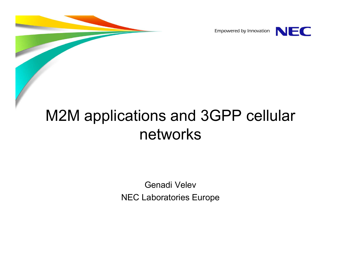

NEC Empowered by Innovation

## M2M applications and 3GPP cellular networks

Genadi VelevNEC Laboratories Europe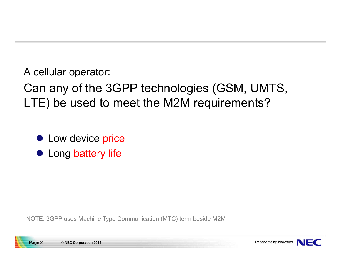A cellular operator:

Can any of the 3GPP technologies (GSM, UMTS, LTE) be used to meet the M2M requirements?

- Low device price
- **Long battery life**

NOTE: 3GPP uses Machine Type Communication (MTC) term beside M2M

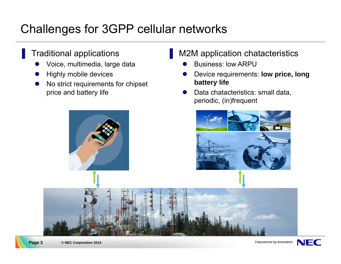### Challenges for 3GPP cellular networks

#### **Traditional applications**

- $\bullet$ Voice, multimedia, large data
- $\bullet$ Highly mobile devices
- $\bullet$  No strict requirements for chipset price and battery life

 $\bullet$ 

 $\bullet$ 

 $\bullet$ 

M2M application chatacteristics

Data chatacteristics: small data,

Device requirements: **low price, long** 

Business: low ARPU

periodic, (in)frequent

**battery life**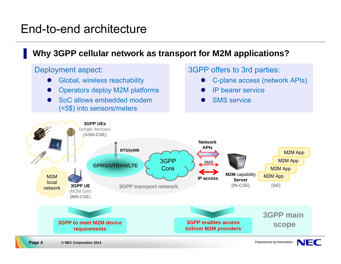#### End-to-end architecture

#### ▌ **Why 3GPP cellular network as transport for M2M applications?**

#### Deployment aspect:

- $\bullet$ Global, wireless reachability
- $\bullet$ Operators deploy M2M platforms
- $\bullet$  SoC allows embedded modem (<5\$) into sensors/meters

#### 3GPP offers to 3rd parties:

- $\bullet$ C-plane access (network APIs)
- $\bullet$ IP bearer service
- $\bullet$ SMS service

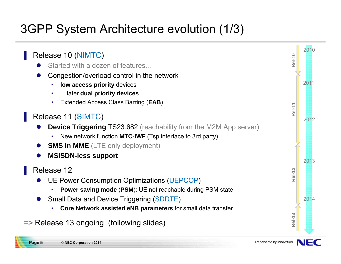### 3GPP System Architecture evolution (1/3)



**Page 5 © NEC Corporation 2014**

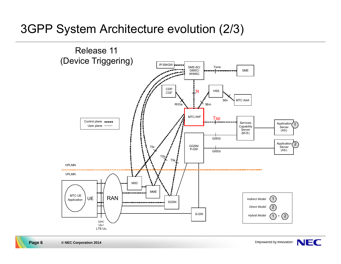#### 3GPP System Architecture evolution (2/3)



Empowered by Innovation

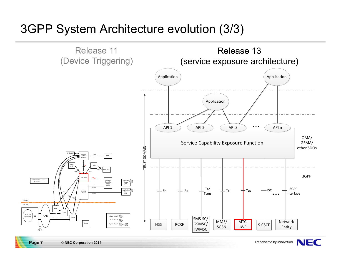#### 3GPP System Architecture evolution (3/3)



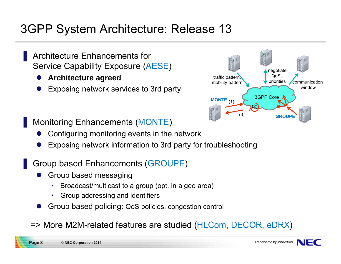#### 3GPP System Architecture: Release 13

- Architecture Enhancements for Service Capability Exposure (AESE)
	- $\bullet$ **Architecture agreed**
	- $\bullet$ Exposing network services to 3rd party

**Monitoring Enhancements (MONTE)** 

- $\bullet$ Configuring monitoring events in the network
- $\bullet$ Exposing network information to 3rd party for troubleshooting

Group based Enhancements (GROUPE)

- **Group based messaging** 
	- Broadcast/multicast to a group (opt. in a geo area)
	- Group addressing and identifiers
- $\bullet$ Group based policing: QoS policies, congestion control

=> More M2M-related features are studied (HLCom, DECOR, eDRX)



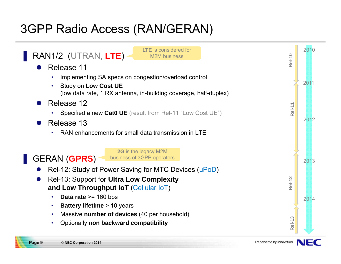### 3GPP Radio Access (RAN/GERAN)



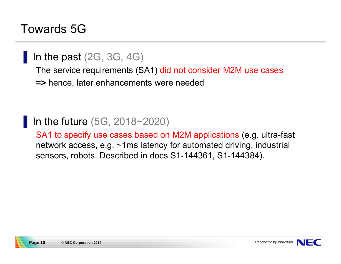Towards 5G

In the past  $(2G, 3G, 4G)$ 

The service requirements (SA1) did not consider M2M use cases

**=>** hence, later enhancements were needed

In the future  $(5G, 2018 - 2020)$ 

SA1 to specify use cases based on M2M applications (e.g. ultra-fast network access, e.g. ~1ms latency for automated driving, industrial sensors, robots. Described in docs S1-144361, S1-144384).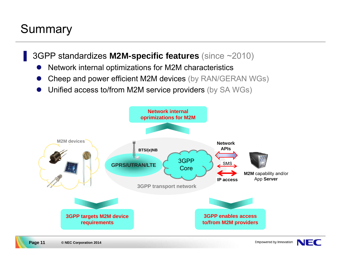### Summary

▌ 3GPP standardizes **M2M-specific features** (since ~2010)

- $\bullet$ Network internal optimizations for M2M characteristics
- $\bullet$ Cheep and power efficient M2M devices (by RAN/GERAN WGs)
- $\bullet$ Unified access to/from M2M service providers (by SA WGs)

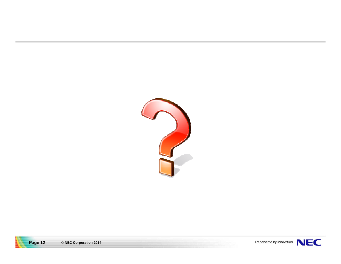